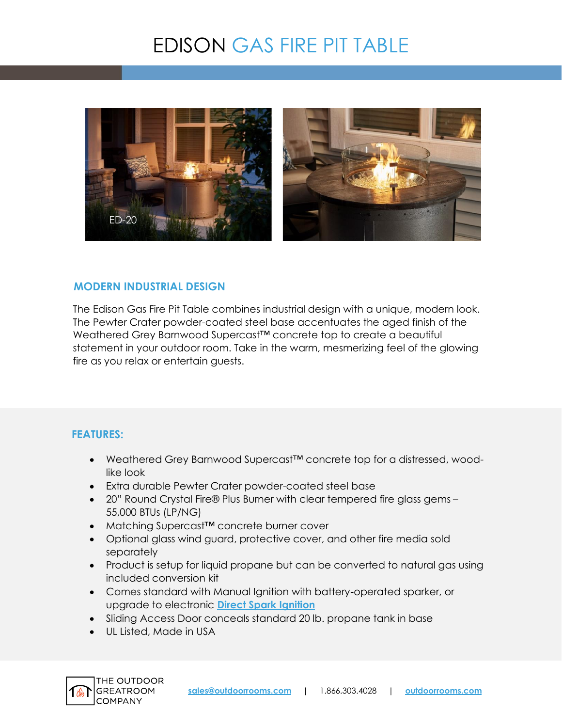# EDISON GAS FIRE PIT TABLE



# **MODERN INDUSTRIAL DESIGN**

The Edison Gas Fire Pit Table combines industrial design with a unique, modern look. The Pewter Crater powder-coated steel base accentuates the aged finish of the Weathered Grey Barnwood Supercast™ concrete top to create a beautiful statement in your outdoor room. Take in the warm, mesmerizing feel of the glowing fire as you relax or entertain guests.

# **FEATURES:**

- Weathered Grey Barnwood Supercast™ concrete top for a distressed, woodlike look
- Extra durable Pewter Crater powder-coated steel base
- 20" Round Crystal Fire® Plus Burner with clear tempered fire glass gems 55,000 BTUs (LP/NG)
- Matching Supercast™ concrete burner cover
- Optional glass wind guard, protective cover, and other fire media sold separately
- Product is setup for liquid propane but can be converted to natural gas using included conversion kit
- Comes standard with Manual Ignition with battery-operated sparker, or upgrade to electronic **[Direct Spark Ignition](https://www.outdoorrooms.com/sites/default/files/files/direct-spark-ignition-info-sheet.pdf)**
- Sliding Access Door conceals standard 20 lb. propane tank in base
- UL Listed, Made in USA